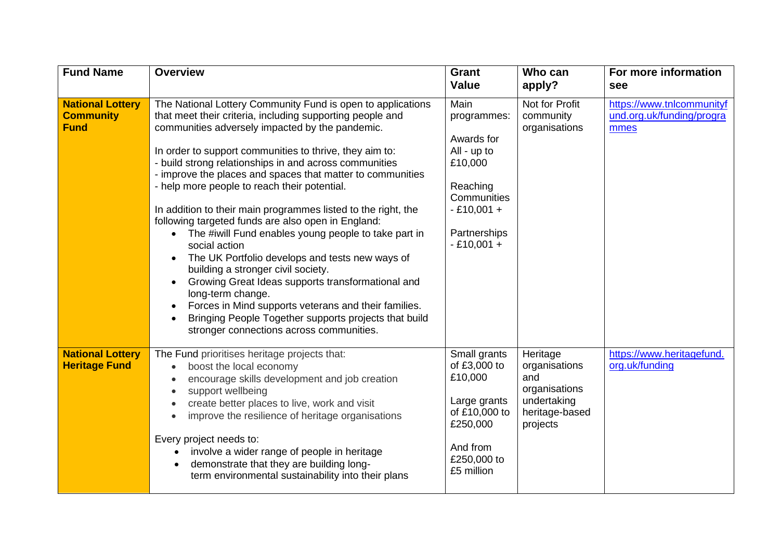| <b>Fund Name</b>                                           | <b>Overview</b>                                                                                                                                                                                                                                                                                                                                                                                                                                                                                                                                                                                                                                                                                                                                                                                                                                                                                                                                | <b>Grant</b><br><b>Value</b>                                                                                                           | Who can<br>apply?                                                                              | For more information<br>see                                    |
|------------------------------------------------------------|------------------------------------------------------------------------------------------------------------------------------------------------------------------------------------------------------------------------------------------------------------------------------------------------------------------------------------------------------------------------------------------------------------------------------------------------------------------------------------------------------------------------------------------------------------------------------------------------------------------------------------------------------------------------------------------------------------------------------------------------------------------------------------------------------------------------------------------------------------------------------------------------------------------------------------------------|----------------------------------------------------------------------------------------------------------------------------------------|------------------------------------------------------------------------------------------------|----------------------------------------------------------------|
| <b>National Lottery</b><br><b>Community</b><br><b>Fund</b> | The National Lottery Community Fund is open to applications<br>that meet their criteria, including supporting people and<br>communities adversely impacted by the pandemic.<br>In order to support communities to thrive, they aim to:<br>- build strong relationships in and across communities<br>- improve the places and spaces that matter to communities<br>- help more people to reach their potential.<br>In addition to their main programmes listed to the right, the<br>following targeted funds are also open in England:<br>The #iwill Fund enables young people to take part in<br>social action<br>The UK Portfolio develops and tests new ways of<br>building a stronger civil society.<br>Growing Great Ideas supports transformational and<br>long-term change.<br>Forces in Mind supports veterans and their families.<br>Bringing People Together supports projects that build<br>stronger connections across communities. | Main<br>programmes:<br>Awards for<br>All - up to<br>£10,000<br>Reaching<br>Communities<br>$-£10,001 +$<br>Partnerships<br>$-£10,001 +$ | Not for Profit<br>community<br>organisations                                                   | https://www.tnlcommunityf<br>und.org.uk/funding/progra<br>mmes |
| <b>National Lottery</b><br><b>Heritage Fund</b>            | The Fund prioritises heritage projects that:<br>boost the local economy<br>$\bullet$<br>encourage skills development and job creation<br>support wellbeing<br>create better places to live, work and visit<br>improve the resilience of heritage organisations<br>Every project needs to:<br>involve a wider range of people in heritage<br>demonstrate that they are building long-<br>term environmental sustainability into their plans                                                                                                                                                                                                                                                                                                                                                                                                                                                                                                     | Small grants<br>of £3,000 to<br>£10,000<br>Large grants<br>of £10,000 to<br>£250,000<br>And from<br>£250,000 to<br>£5 million          | Heritage<br>organisations<br>and<br>organisations<br>undertaking<br>heritage-based<br>projects | https://www.heritagefund.<br>org.uk/funding                    |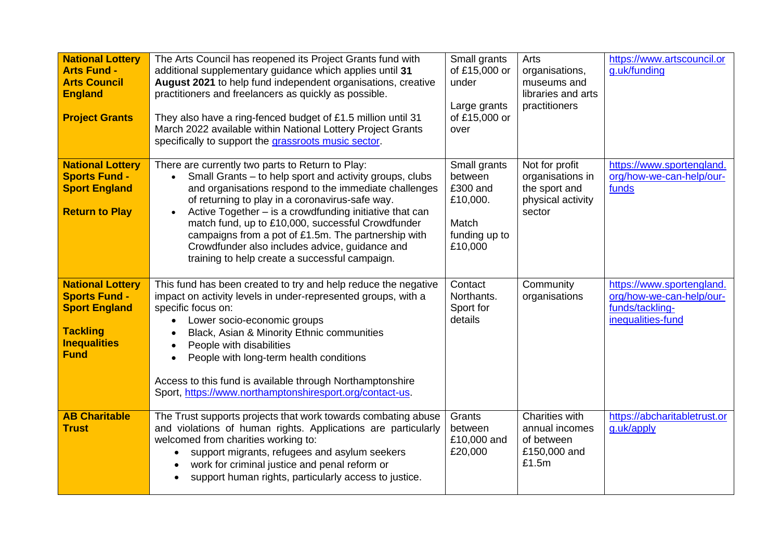| <b>National Lottery</b><br><b>Arts Fund -</b><br><b>Arts Council</b><br><b>England</b><br><b>Project Grants</b>                  | The Arts Council has reopened its Project Grants fund with<br>additional supplementary guidance which applies until 31<br>August 2021 to help fund independent organisations, creative<br>practitioners and freelancers as quickly as possible.<br>They also have a ring-fenced budget of £1.5 million until 31<br>March 2022 available within National Lottery Project Grants<br>specifically to support the grassroots music sector.                                                                                       | Small grants<br>of £15,000 or<br>under<br>Large grants<br>of £15,000 or<br>over      | Arts<br>organisations,<br>museums and<br>libraries and arts<br>practitioners       | https://www.artscouncil.or<br>g.uk/funding                                                    |
|----------------------------------------------------------------------------------------------------------------------------------|------------------------------------------------------------------------------------------------------------------------------------------------------------------------------------------------------------------------------------------------------------------------------------------------------------------------------------------------------------------------------------------------------------------------------------------------------------------------------------------------------------------------------|--------------------------------------------------------------------------------------|------------------------------------------------------------------------------------|-----------------------------------------------------------------------------------------------|
| <b>National Lottery</b><br><b>Sports Fund -</b><br><b>Sport England</b><br><b>Return to Play</b>                                 | There are currently two parts to Return to Play:<br>Small Grants – to help sport and activity groups, clubs<br>$\bullet$<br>and organisations respond to the immediate challenges<br>of returning to play in a coronavirus-safe way.<br>Active Together – is a crowdfunding initiative that can<br>$\bullet$<br>match fund, up to £10,000, successful Crowdfunder<br>campaigns from a pot of £1.5m. The partnership with<br>Crowdfunder also includes advice, guidance and<br>training to help create a successful campaign. | Small grants<br>between<br>£300 and<br>£10,000.<br>Match<br>funding up to<br>£10,000 | Not for profit<br>organisations in<br>the sport and<br>physical activity<br>sector | https://www.sportengland.<br>org/how-we-can-help/our-<br>funds                                |
| <b>National Lottery</b><br><b>Sports Fund -</b><br><b>Sport England</b><br><b>Tackling</b><br><b>Inequalities</b><br><b>Fund</b> | This fund has been created to try and help reduce the negative<br>impact on activity levels in under-represented groups, with a<br>specific focus on:<br>Lower socio-economic groups<br>$\bullet$<br>Black, Asian & Minority Ethnic communities<br>People with disabilities<br>People with long-term health conditions<br>$\bullet$<br>Access to this fund is available through Northamptonshire<br>Sport, https://www.northamptonshiresport.org/contact-us.                                                                 | Contact<br>Northants.<br>Sport for<br>details                                        | Community<br>organisations                                                         | https://www.sportengland.<br>org/how-we-can-help/our-<br>funds/tackling-<br>inequalities-fund |
| <b>AB Charitable</b><br><b>Trust</b>                                                                                             | The Trust supports projects that work towards combating abuse<br>and violations of human rights. Applications are particularly<br>welcomed from charities working to:<br>support migrants, refugees and asylum seekers<br>work for criminal justice and penal reform or<br>support human rights, particularly access to justice.                                                                                                                                                                                             | Grants<br>between<br>£10,000 and<br>£20,000                                          | Charities with<br>annual incomes<br>of between<br>£150,000 and<br>£1.5m            | https://abcharitabletrust.or<br>g.uk/apply                                                    |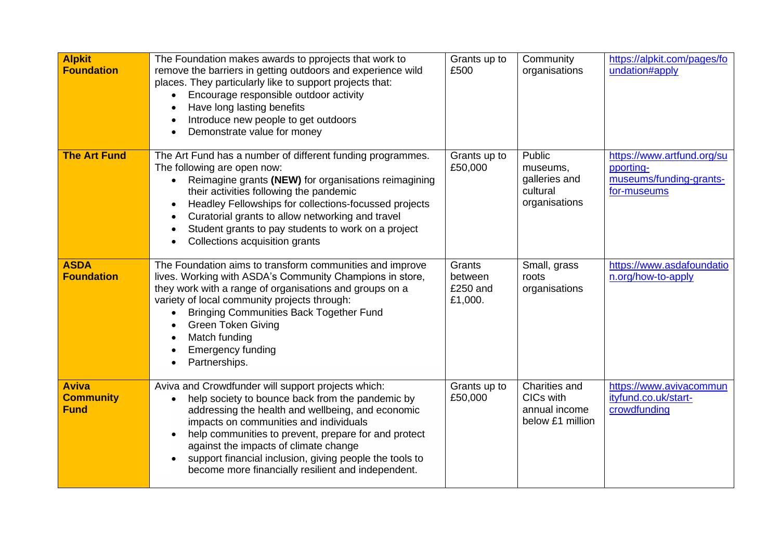| <b>Alpkit</b><br><b>Foundation</b>              | The Foundation makes awards to pprojects that work to<br>remove the barriers in getting outdoors and experience wild<br>places. They particularly like to support projects that:<br>Encourage responsible outdoor activity<br>Have long lasting benefits<br>Introduce new people to get outdoors<br>Demonstrate value for money                                                                                                      | Grants up to<br>£500                     | Community<br>organisations                                       | https://alpkit.com/pages/fo<br>undation#apply                                     |
|-------------------------------------------------|--------------------------------------------------------------------------------------------------------------------------------------------------------------------------------------------------------------------------------------------------------------------------------------------------------------------------------------------------------------------------------------------------------------------------------------|------------------------------------------|------------------------------------------------------------------|-----------------------------------------------------------------------------------|
| <b>The Art Fund</b>                             | The Art Fund has a number of different funding programmes.<br>The following are open now:<br>Reimagine grants (NEW) for organisations reimagining<br>their activities following the pandemic<br>Headley Fellowships for collections-focussed projects<br>Curatorial grants to allow networking and travel<br>Student grants to pay students to work on a project<br>Collections acquisition grants                                   | Grants up to<br>£50,000                  | Public<br>museums,<br>galleries and<br>cultural<br>organisations | https://www.artfund.org/su<br>pporting-<br>museums/funding-grants-<br>for-museums |
| <b>ASDA</b><br><b>Foundation</b>                | The Foundation aims to transform communities and improve<br>lives. Working with ASDA's Community Champions in store,<br>they work with a range of organisations and groups on a<br>variety of local community projects through:<br><b>Bringing Communities Back Together Fund</b><br><b>Green Token Giving</b><br>Match funding<br><b>Emergency funding</b><br>Partnerships.                                                         | Grants<br>between<br>£250 and<br>£1,000. | Small, grass<br>roots<br>organisations                           | https://www.asdafoundatio<br>n.org/how-to-apply                                   |
| <b>Aviva</b><br><b>Community</b><br><b>Fund</b> | Aviva and Crowdfunder will support projects which:<br>help society to bounce back from the pandemic by<br>addressing the health and wellbeing, and economic<br>impacts on communities and individuals<br>help communities to prevent, prepare for and protect<br>$\bullet$<br>against the impacts of climate change<br>support financial inclusion, giving people the tools to<br>become more financially resilient and independent. | Grants up to<br>£50,000                  | Charities and<br>CICs with<br>annual income<br>below £1 million  | https://www.avivacommun<br>ityfund.co.uk/start-<br>crowdfunding                   |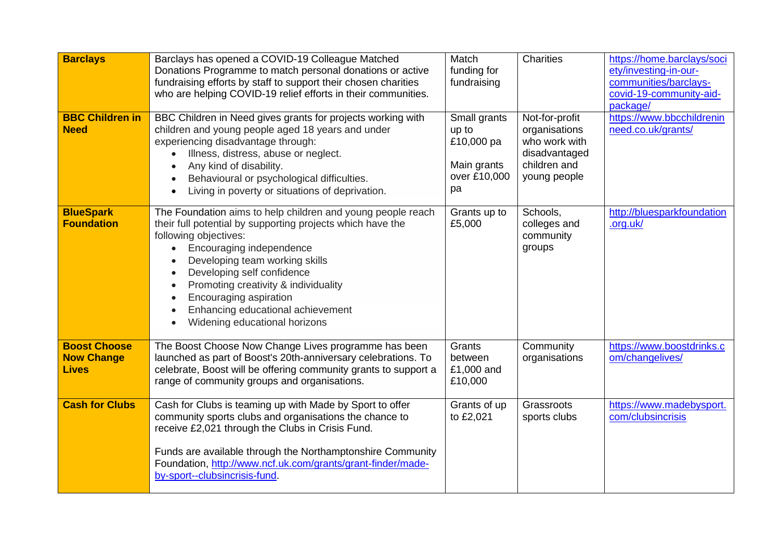| <b>Barclays</b><br><b>BBC Children in</b><br><b>Need</b> | Barclays has opened a COVID-19 Colleague Matched<br>Donations Programme to match personal donations or active<br>fundraising efforts by staff to support their chosen charities<br>who are helping COVID-19 relief efforts in their communities.<br>BBC Children in Need gives grants for projects working with<br>children and young people aged 18 years and under<br>experiencing disadvantage through:<br>Illness, distress, abuse or neglect.<br>Any kind of disability.<br>Behavioural or psychological difficulties.<br>Living in poverty or situations of deprivation.<br>$\bullet$ | Match<br>funding for<br>fundraising<br>Small grants<br>up to<br>£10,000 pa<br>Main grants<br>over £10,000<br>pa | <b>Charities</b><br>Not-for-profit<br>organisations<br>who work with<br>disadvantaged<br>children and<br>young people | https://home.barclays/soci<br>ety/investing-in-our-<br>communities/barclays-<br>covid-19-community-aid-<br>package/<br>https://www.bbcchildrenin<br>need.co.uk/grants/ |
|----------------------------------------------------------|---------------------------------------------------------------------------------------------------------------------------------------------------------------------------------------------------------------------------------------------------------------------------------------------------------------------------------------------------------------------------------------------------------------------------------------------------------------------------------------------------------------------------------------------------------------------------------------------|-----------------------------------------------------------------------------------------------------------------|-----------------------------------------------------------------------------------------------------------------------|------------------------------------------------------------------------------------------------------------------------------------------------------------------------|
| <b>BlueSpark</b><br><b>Foundation</b>                    | The Foundation aims to help children and young people reach<br>their full potential by supporting projects which have the<br>following objectives:<br>Encouraging independence<br>Developing team working skills<br>Developing self confidence<br>Promoting creativity & individuality<br>Encouraging aspiration<br>Enhancing educational achievement<br>Widening educational horizons                                                                                                                                                                                                      | Grants up to<br>£5,000                                                                                          | Schools,<br>colleges and<br>community<br>groups                                                                       | http://bluesparkfoundation<br>.org.uk/                                                                                                                                 |
| <b>Boost Choose</b><br><b>Now Change</b><br><b>Lives</b> | The Boost Choose Now Change Lives programme has been<br>launched as part of Boost's 20th-anniversary celebrations. To<br>celebrate, Boost will be offering community grants to support a<br>range of community groups and organisations.                                                                                                                                                                                                                                                                                                                                                    | Grants<br>between<br>£1,000 and<br>£10,000                                                                      | Community<br>organisations                                                                                            | https://www.boostdrinks.c<br>om/changelives/                                                                                                                           |
| <b>Cash for Clubs</b>                                    | Cash for Clubs is teaming up with Made by Sport to offer<br>community sports clubs and organisations the chance to<br>receive £2,021 through the Clubs in Crisis Fund.<br>Funds are available through the Northamptonshire Community<br>Foundation, http://www.ncf.uk.com/grants/grant-finder/made-<br>by-sport--clubsincrisis-fund.                                                                                                                                                                                                                                                        | Grants of up<br>to £2,021                                                                                       | Grassroots<br>sports clubs                                                                                            | https://www.madebysport.<br>com/clubsincrisis                                                                                                                          |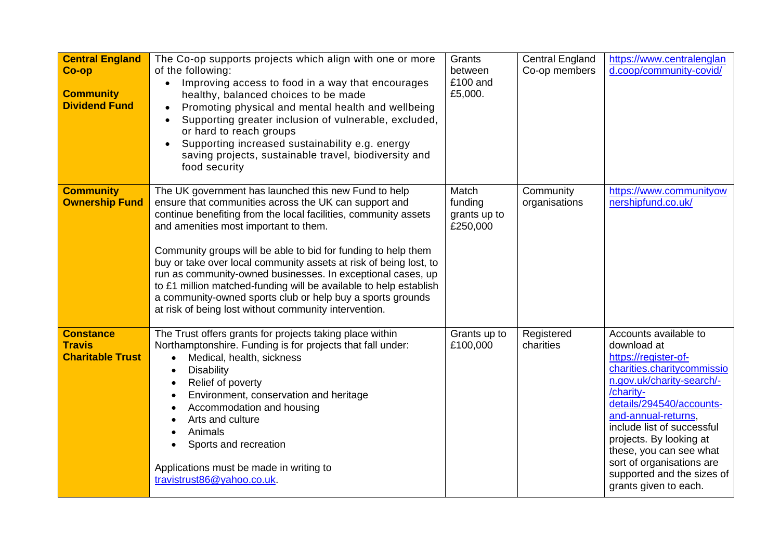| <b>Central England</b><br>Co-op<br><b>Community</b><br><b>Dividend Fund</b> | The Co-op supports projects which align with one or more<br>of the following:<br>Improving access to food in a way that encourages<br>healthy, balanced choices to be made<br>Promoting physical and mental health and wellbeing<br>Supporting greater inclusion of vulnerable, excluded,<br>or hard to reach groups<br>Supporting increased sustainability e.g. energy<br>$\bullet$<br>saving projects, sustainable travel, biodiversity and<br>food security                                                                                                                                                             | Grants<br>between<br>£100 and<br>£5,000.     | <b>Central England</b><br>Co-op members | https://www.centralenglan<br>d.coop/community-covid/                                                                                                                                                                                                                                                                                                            |
|-----------------------------------------------------------------------------|----------------------------------------------------------------------------------------------------------------------------------------------------------------------------------------------------------------------------------------------------------------------------------------------------------------------------------------------------------------------------------------------------------------------------------------------------------------------------------------------------------------------------------------------------------------------------------------------------------------------------|----------------------------------------------|-----------------------------------------|-----------------------------------------------------------------------------------------------------------------------------------------------------------------------------------------------------------------------------------------------------------------------------------------------------------------------------------------------------------------|
| <b>Community</b><br><b>Ownership Fund</b>                                   | The UK government has launched this new Fund to help<br>ensure that communities across the UK can support and<br>continue benefiting from the local facilities, community assets<br>and amenities most important to them.<br>Community groups will be able to bid for funding to help them<br>buy or take over local community assets at risk of being lost, to<br>run as community-owned businesses. In exceptional cases, up<br>to £1 million matched-funding will be available to help establish<br>a community-owned sports club or help buy a sports grounds<br>at risk of being lost without community intervention. | Match<br>funding<br>grants up to<br>£250,000 | Community<br>organisations              | https://www.communityow<br>nershipfund.co.uk/                                                                                                                                                                                                                                                                                                                   |
| <b>Constance</b><br><b>Travis</b><br><b>Charitable Trust</b>                | The Trust offers grants for projects taking place within<br>Northamptonshire. Funding is for projects that fall under:<br>Medical, health, sickness<br>$\bullet$<br><b>Disability</b><br>Relief of poverty<br>$\bullet$<br>Environment, conservation and heritage<br>Accommodation and housing<br>Arts and culture<br>Animals<br>Sports and recreation<br>Applications must be made in writing to<br>travistrust86@yahoo.co.uk                                                                                                                                                                                             | Grants up to<br>£100,000                     | Registered<br>charities                 | Accounts available to<br>download at<br>https://register-of-<br>charities.charitycommissio<br>n.gov.uk/charity-search/-<br>/charity-<br>details/294540/accounts-<br>and-annual-returns,<br>include list of successful<br>projects. By looking at<br>these, you can see what<br>sort of organisations are<br>supported and the sizes of<br>grants given to each. |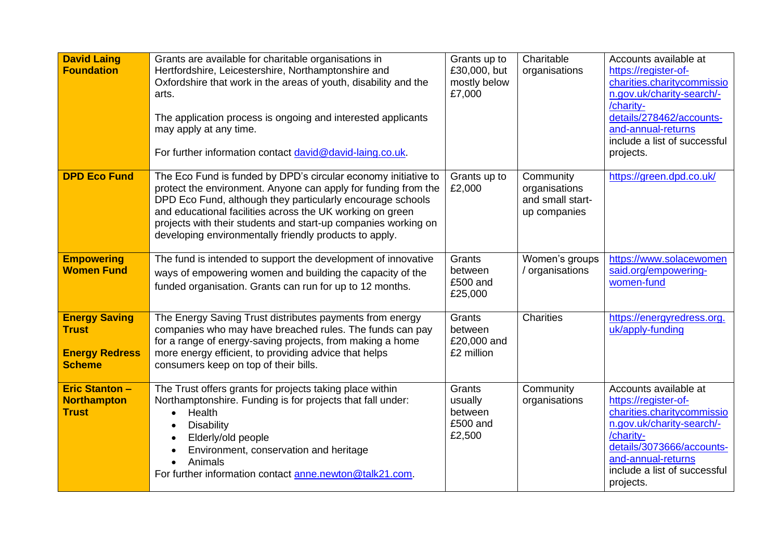| <b>David Laing</b><br><b>Foundation</b>                                        | Grants are available for charitable organisations in<br>Hertfordshire, Leicestershire, Northamptonshire and<br>Oxfordshire that work in the areas of youth, disability and the<br>arts.<br>The application process is ongoing and interested applicants<br>may apply at any time.<br>For further information contact david@david-laing.co.uk.                                           | Grants up to<br>£30,000, but<br>mostly below<br>£7,000 | Charitable<br>organisations                                    | Accounts available at<br>https://register-of-<br>charities.charitycommissio<br>n.gov.uk/charity-search/-<br>/charity-<br>details/278462/accounts-<br>and-annual-returns<br>include a list of successful<br>projects.  |
|--------------------------------------------------------------------------------|-----------------------------------------------------------------------------------------------------------------------------------------------------------------------------------------------------------------------------------------------------------------------------------------------------------------------------------------------------------------------------------------|--------------------------------------------------------|----------------------------------------------------------------|-----------------------------------------------------------------------------------------------------------------------------------------------------------------------------------------------------------------------|
| <b>DPD Eco Fund</b>                                                            | The Eco Fund is funded by DPD's circular economy initiative to<br>protect the environment. Anyone can apply for funding from the<br>DPD Eco Fund, although they particularly encourage schools<br>and educational facilities across the UK working on green<br>projects with their students and start-up companies working on<br>developing environmentally friendly products to apply. | Grants up to<br>£2,000                                 | Community<br>organisations<br>and small start-<br>up companies | https://green.dpd.co.uk/                                                                                                                                                                                              |
| <b>Empowering</b><br><b>Women Fund</b>                                         | The fund is intended to support the development of innovative<br>ways of empowering women and building the capacity of the<br>funded organisation. Grants can run for up to 12 months.                                                                                                                                                                                                  | Grants<br>between<br>£500 and<br>£25,000               | Women's groups<br>/ organisations                              | https://www.solacewomen<br>said.org/empowering-<br>women-fund                                                                                                                                                         |
| <b>Energy Saving</b><br><b>Trust</b><br><b>Energy Redress</b><br><b>Scheme</b> | The Energy Saving Trust distributes payments from energy<br>companies who may have breached rules. The funds can pay<br>for a range of energy-saving projects, from making a home<br>more energy efficient, to providing advice that helps<br>consumers keep on top of their bills.                                                                                                     | Grants<br>between<br>£20,000 and<br>£2 million         | <b>Charities</b>                                               | https://energyredress.org.<br>uk/apply-funding                                                                                                                                                                        |
| <b>Eric Stanton -</b><br><b>Northampton</b><br><b>Trust</b>                    | The Trust offers grants for projects taking place within<br>Northamptonshire. Funding is for projects that fall under:<br>Health<br>$\bullet$<br><b>Disability</b><br>Elderly/old people<br>Environment, conservation and heritage<br>Animals<br>For further information contact anne.newton@talk21.com.                                                                                | Grants<br>usually<br>between<br>£500 and<br>£2,500     | Community<br>organisations                                     | Accounts available at<br>https://register-of-<br>charities.charitycommissio<br>n.gov.uk/charity-search/-<br>/charity-<br>details/3073666/accounts-<br>and-annual-returns<br>include a list of successful<br>projects. |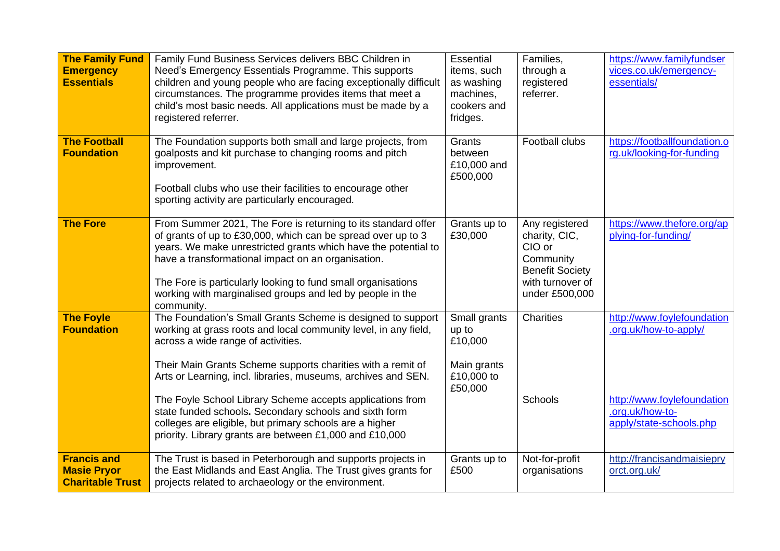| <b>The Family Fund</b><br><b>Emergency</b><br><b>Essentials</b>     | Family Fund Business Services delivers BBC Children in<br>Need's Emergency Essentials Programme. This supports<br>children and young people who are facing exceptionally difficult<br>circumstances. The programme provides items that meet a<br>child's most basic needs. All applications must be made by a<br>registered referrer.                                                                                       | <b>Essential</b><br>items, such<br>as washing<br>machines,<br>cookers and<br>fridges. | Families,<br>through a<br>registered<br>referrer.                                                                      | https://www.familyfundser<br>vices.co.uk/emergency-<br>essentials/                                   |
|---------------------------------------------------------------------|-----------------------------------------------------------------------------------------------------------------------------------------------------------------------------------------------------------------------------------------------------------------------------------------------------------------------------------------------------------------------------------------------------------------------------|---------------------------------------------------------------------------------------|------------------------------------------------------------------------------------------------------------------------|------------------------------------------------------------------------------------------------------|
| <b>The Football</b><br><b>Foundation</b>                            | The Foundation supports both small and large projects, from<br>goalposts and kit purchase to changing rooms and pitch<br>improvement.<br>Football clubs who use their facilities to encourage other<br>sporting activity are particularly encouraged.                                                                                                                                                                       | Grants<br>between<br>£10,000 and<br>£500,000                                          | Football clubs                                                                                                         | https://footballfoundation.o<br>rg.uk/looking-for-funding                                            |
| <b>The Fore</b>                                                     | From Summer 2021, The Fore is returning to its standard offer<br>of grants of up to £30,000, which can be spread over up to 3<br>years. We make unrestricted grants which have the potential to<br>have a transformational impact on an organisation.<br>The Fore is particularly looking to fund small organisations<br>working with marginalised groups and led by people in the<br>community.                            | Grants up to<br>£30,000                                                               | Any registered<br>charity, CIC,<br>CIO or<br>Community<br><b>Benefit Society</b><br>with turnover of<br>under £500,000 | https://www.thefore.org/ap<br>plying-for-funding/                                                    |
| <b>The Foyle</b><br><b>Foundation</b>                               | The Foundation's Small Grants Scheme is designed to support<br>working at grass roots and local community level, in any field,<br>across a wide range of activities.<br>Their Main Grants Scheme supports charities with a remit of<br>Arts or Learning, incl. libraries, museums, archives and SEN.<br>The Foyle School Library Scheme accepts applications from<br>state funded schools. Secondary schools and sixth form | Small grants<br>up to<br>£10,000<br>Main grants<br>£10,000 to<br>£50,000              | <b>Charities</b><br>Schools                                                                                            | http://www.foylefoundation<br>.org.uk/how-to-apply/<br>http://www.foylefoundation<br>.org.uk/how-to- |
|                                                                     | colleges are eligible, but primary schools are a higher<br>priority. Library grants are between £1,000 and £10,000                                                                                                                                                                                                                                                                                                          |                                                                                       |                                                                                                                        | apply/state-schools.php                                                                              |
| <b>Francis and</b><br><b>Masie Pryor</b><br><b>Charitable Trust</b> | The Trust is based in Peterborough and supports projects in<br>the East Midlands and East Anglia. The Trust gives grants for<br>projects related to archaeology or the environment.                                                                                                                                                                                                                                         | Grants up to<br>£500                                                                  | Not-for-profit<br>organisations                                                                                        | http://francisandmaisiepry<br>orct.org.uk/                                                           |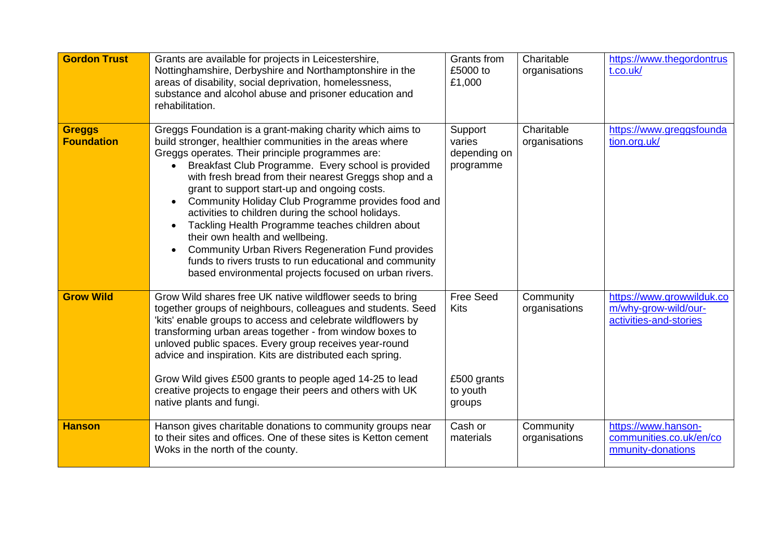| <b>Gordon Trust</b>                | Grants are available for projects in Leicestershire,<br>Nottinghamshire, Derbyshire and Northamptonshire in the<br>areas of disability, social deprivation, homelessness,<br>substance and alcohol abuse and prisoner education and<br>rehabilitation.                                                                                                                                                                                                                                                                                                                                                                                                                                                                                   | Grants from<br>£5000 to<br>£1,000                             | Charitable<br>organisations | https://www.thegordontrus<br>t.co.uk/                                       |
|------------------------------------|------------------------------------------------------------------------------------------------------------------------------------------------------------------------------------------------------------------------------------------------------------------------------------------------------------------------------------------------------------------------------------------------------------------------------------------------------------------------------------------------------------------------------------------------------------------------------------------------------------------------------------------------------------------------------------------------------------------------------------------|---------------------------------------------------------------|-----------------------------|-----------------------------------------------------------------------------|
| <b>Greggs</b><br><b>Foundation</b> | Greggs Foundation is a grant-making charity which aims to<br>build stronger, healthier communities in the areas where<br>Greggs operates. Their principle programmes are:<br>Breakfast Club Programme. Every school is provided<br>with fresh bread from their nearest Greggs shop and a<br>grant to support start-up and ongoing costs.<br>Community Holiday Club Programme provides food and<br>$\bullet$<br>activities to children during the school holidays.<br>Tackling Health Programme teaches children about<br>their own health and wellbeing.<br><b>Community Urban Rivers Regeneration Fund provides</b><br>funds to rivers trusts to run educational and community<br>based environmental projects focused on urban rivers. | Support<br>varies<br>depending on<br>programme                | Charitable<br>organisations | https://www.greggsfounda<br>tion.org.uk/                                    |
| <b>Grow Wild</b>                   | Grow Wild shares free UK native wildflower seeds to bring<br>together groups of neighbours, colleagues and students. Seed<br>'kits' enable groups to access and celebrate wildflowers by<br>transforming urban areas together - from window boxes to<br>unloved public spaces. Every group receives year-round<br>advice and inspiration. Kits are distributed each spring.<br>Grow Wild gives £500 grants to people aged 14-25 to lead<br>creative projects to engage their peers and others with UK<br>native plants and fungi.                                                                                                                                                                                                        | <b>Free Seed</b><br>Kits<br>£500 grants<br>to youth<br>groups | Community<br>organisations  | https://www.growwilduk.co<br>m/why-grow-wild/our-<br>activities-and-stories |
| <b>Hanson</b>                      | Hanson gives charitable donations to community groups near<br>to their sites and offices. One of these sites is Ketton cement<br>Woks in the north of the county.                                                                                                                                                                                                                                                                                                                                                                                                                                                                                                                                                                        | Cash or<br>materials                                          | Community<br>organisations  | https://www.hanson-<br>communities.co.uk/en/co<br>mmunity-donations         |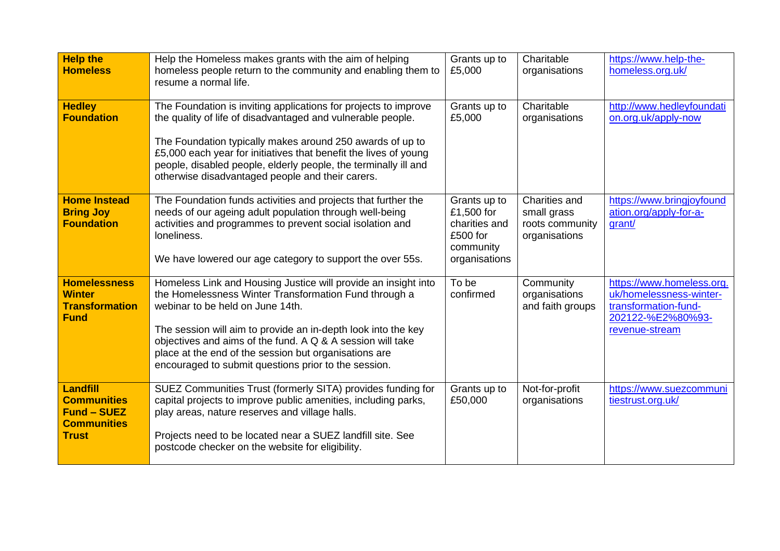| <b>Help the</b><br><b>Homeless</b>                                                         | Help the Homeless makes grants with the aim of helping<br>homeless people return to the community and enabling them to<br>resume a normal life.                                                                                                                                                                                                                                                             | Grants up to<br>£5,000                                                                | Charitable<br>organisations                                      | https://www.help-the-<br>homeless.org.uk/                                                                           |
|--------------------------------------------------------------------------------------------|-------------------------------------------------------------------------------------------------------------------------------------------------------------------------------------------------------------------------------------------------------------------------------------------------------------------------------------------------------------------------------------------------------------|---------------------------------------------------------------------------------------|------------------------------------------------------------------|---------------------------------------------------------------------------------------------------------------------|
| <b>Hedley</b><br><b>Foundation</b>                                                         | The Foundation is inviting applications for projects to improve<br>the quality of life of disadvantaged and vulnerable people.<br>The Foundation typically makes around 250 awards of up to<br>£5,000 each year for initiatives that benefit the lives of young<br>people, disabled people, elderly people, the terminally ill and<br>otherwise disadvantaged people and their carers.                      | Grants up to<br>£5,000                                                                | Charitable<br>organisations                                      | http://www.hedleyfoundati<br>on.org.uk/apply-now                                                                    |
| <b>Home Instead</b><br><b>Bring Joy</b><br><b>Foundation</b>                               | The Foundation funds activities and projects that further the<br>needs of our ageing adult population through well-being<br>activities and programmes to prevent social isolation and<br>loneliness.<br>We have lowered our age category to support the over 55s.                                                                                                                                           | Grants up to<br>£1,500 for<br>charities and<br>£500 for<br>community<br>organisations | Charities and<br>small grass<br>roots community<br>organisations | https://www.bringjoyfound<br>ation.org/apply-for-a-<br>grant/                                                       |
| <b>Homelessness</b><br><b>Winter</b><br><b>Transformation</b><br><b>Fund</b>               | Homeless Link and Housing Justice will provide an insight into<br>the Homelessness Winter Transformation Fund through a<br>webinar to be held on June 14th.<br>The session will aim to provide an in-depth look into the key<br>objectives and aims of the fund. A Q & A session will take<br>place at the end of the session but organisations are<br>encouraged to submit questions prior to the session. | To be<br>confirmed                                                                    | Community<br>organisations<br>and faith groups                   | https://www.homeless.org.<br>uk/homelessness-winter-<br>transformation-fund-<br>202122-%E2%80%93-<br>revenue-stream |
| Landfill<br><b>Communities</b><br><b>Fund - SUEZ</b><br><b>Communities</b><br><b>Trust</b> | SUEZ Communities Trust (formerly SITA) provides funding for<br>capital projects to improve public amenities, including parks,<br>play areas, nature reserves and village halls.<br>Projects need to be located near a SUEZ landfill site. See<br>postcode checker on the website for eligibility.                                                                                                           | Grants up to<br>£50,000                                                               | Not-for-profit<br>organisations                                  | https://www.suezcommuni<br>tiestrust.org.uk/                                                                        |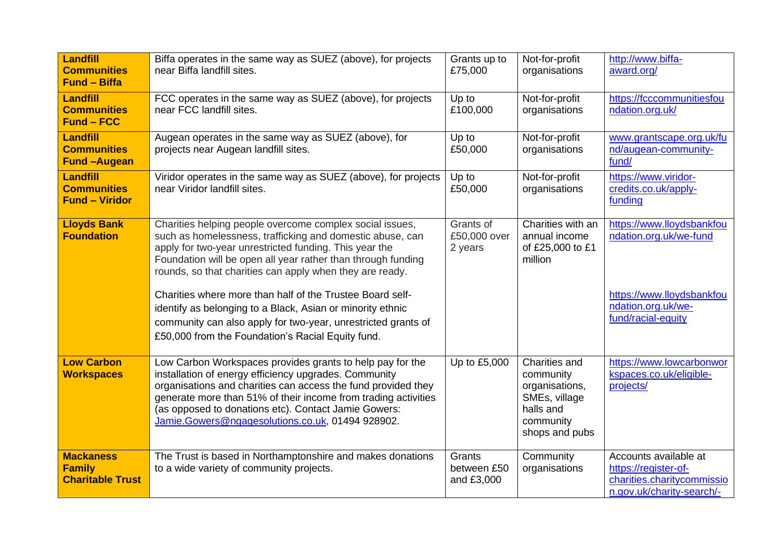| Landfill<br><b>Communities</b><br><b>Fund - Biffa</b>        | Biffa operates in the same way as SUEZ (above), for projects<br>near Biffa landfill sites.                                                                                                                                                                                                                                                                        | Grants up to<br>£75,000              | Not-for-profit<br>organisations                                                                           | http://www.biffa-<br>award.org/                                                                          |
|--------------------------------------------------------------|-------------------------------------------------------------------------------------------------------------------------------------------------------------------------------------------------------------------------------------------------------------------------------------------------------------------------------------------------------------------|--------------------------------------|-----------------------------------------------------------------------------------------------------------|----------------------------------------------------------------------------------------------------------|
| Landfill<br><b>Communities</b><br><b>Fund - FCC</b>          | FCC operates in the same way as SUEZ (above), for projects<br>near FCC landfill sites.                                                                                                                                                                                                                                                                            | Up to<br>£100,000                    | Not-for-profit<br>organisations                                                                           | https://fcccommunitiesfou<br>ndation.org.uk/                                                             |
| <b>Landfill</b><br><b>Communities</b><br><b>Fund-Augean</b>  | Augean operates in the same way as SUEZ (above), for<br>projects near Augean landfill sites.                                                                                                                                                                                                                                                                      | Up to<br>£50,000                     | Not-for-profit<br>organisations                                                                           | www.grantscape.org.uk/fu<br>nd/augean-community-<br>fund/                                                |
| Landfill<br><b>Communities</b><br><b>Fund - Viridor</b>      | Viridor operates in the same way as SUEZ (above), for projects<br>near Viridor landfill sites.                                                                                                                                                                                                                                                                    | Up to<br>£50,000                     | Not-for-profit<br>organisations                                                                           | https://www.viridor-<br>credits.co.uk/apply-<br>funding                                                  |
| <b>Lloyds Bank</b><br><b>Foundation</b>                      | Charities helping people overcome complex social issues,<br>such as homelessness, trafficking and domestic abuse, can<br>apply for two-year unrestricted funding. This year the<br>Foundation will be open all year rather than through funding<br>rounds, so that charities can apply when they are ready.                                                       | Grants of<br>£50,000 over<br>2 years | Charities with an<br>annual income<br>of £25,000 to £1<br>million                                         | https://www.lloydsbankfou<br>ndation.org.uk/we-fund                                                      |
|                                                              | Charities where more than half of the Trustee Board self-<br>identify as belonging to a Black, Asian or minority ethnic<br>community can also apply for two-year, unrestricted grants of<br>£50,000 from the Foundation's Racial Equity fund.                                                                                                                     |                                      |                                                                                                           | https://www.lloydsbankfou<br>ndation.org.uk/we-<br>fund/racial-equity                                    |
| <b>Low Carbon</b><br><b>Workspaces</b>                       | Low Carbon Workspaces provides grants to help pay for the<br>installation of energy efficiency upgrades. Community<br>organisations and charities can access the fund provided they<br>generate more than 51% of their income from trading activities<br>(as opposed to donations etc). Contact Jamie Gowers:<br>Jamie.Gowers@ngagesolutions.co.uk, 01494 928902. | Up to £5,000                         | Charities and<br>community<br>organisations,<br>SMEs, village<br>halls and<br>community<br>shops and pubs | https://www.lowcarbonwor<br>kspaces.co.uk/eligible-<br>projects/                                         |
| <b>Mackaness</b><br><b>Family</b><br><b>Charitable Trust</b> | The Trust is based in Northamptonshire and makes donations<br>to a wide variety of community projects.                                                                                                                                                                                                                                                            | Grants<br>between £50<br>and £3,000  | Community<br>organisations                                                                                | Accounts available at<br>https://register-of-<br>charities.charitycommissio<br>n.gov.uk/charity-search/- |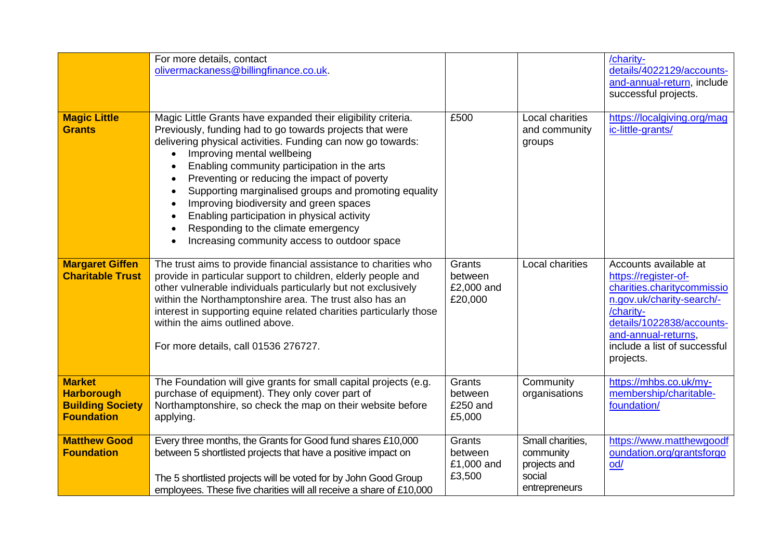| <b>Magic Little</b>                                                                | For more details, contact<br>olivermackaness@billingfinance.co.uk.<br>Magic Little Grants have expanded their eligibility criteria.                                                                                                                                                                                                                                                                                                                                                                                       | £500                                       | Local charities                                                          | /charity-<br>details/4022129/accounts-<br>and-annual-return, include<br>successful projects.<br>https://localgiving.org/mag                                                                                            |
|------------------------------------------------------------------------------------|---------------------------------------------------------------------------------------------------------------------------------------------------------------------------------------------------------------------------------------------------------------------------------------------------------------------------------------------------------------------------------------------------------------------------------------------------------------------------------------------------------------------------|--------------------------------------------|--------------------------------------------------------------------------|------------------------------------------------------------------------------------------------------------------------------------------------------------------------------------------------------------------------|
| <b>Grants</b>                                                                      | Previously, funding had to go towards projects that were<br>delivering physical activities. Funding can now go towards:<br>Improving mental wellbeing<br>Enabling community participation in the arts<br>Preventing or reducing the impact of poverty<br>Supporting marginalised groups and promoting equality<br>Improving biodiversity and green spaces<br>$\bullet$<br>Enabling participation in physical activity<br>$\bullet$<br>Responding to the climate emergency<br>Increasing community access to outdoor space |                                            | and community<br>groups                                                  | ic-little-grants/                                                                                                                                                                                                      |
| <b>Margaret Giffen</b><br><b>Charitable Trust</b>                                  | The trust aims to provide financial assistance to charities who<br>provide in particular support to children, elderly people and<br>other vulnerable individuals particularly but not exclusively<br>within the Northamptonshire area. The trust also has an<br>interest in supporting equine related charities particularly those<br>within the aims outlined above.<br>For more details, call 01536 276727.                                                                                                             | Grants<br>between<br>£2,000 and<br>£20,000 | Local charities                                                          | Accounts available at<br>https://register-of-<br>charities.charitycommissio<br>n.gov.uk/charity-search/-<br>/charity-<br>details/1022838/accounts-<br>and-annual-returns,<br>include a list of successful<br>projects. |
| <b>Market</b><br><b>Harborough</b><br><b>Building Society</b><br><b>Foundation</b> | The Foundation will give grants for small capital projects (e.g.<br>purchase of equipment). They only cover part of<br>Northamptonshire, so check the map on their website before<br>applying.                                                                                                                                                                                                                                                                                                                            | Grants<br>between<br>£250 and<br>£5,000    | Community<br>organisations                                               | https://mhbs.co.uk/my-<br>membership/charitable-<br>foundation/                                                                                                                                                        |
| <b>Matthew Good</b><br><b>Foundation</b>                                           | Every three months, the Grants for Good fund shares £10,000<br>between 5 shortlisted projects that have a positive impact on<br>The 5 shortlisted projects will be voted for by John Good Group<br>employees. These five charities will all receive a share of £10,000                                                                                                                                                                                                                                                    | Grants<br>between<br>£1,000 and<br>£3,500  | Small charities,<br>community<br>projects and<br>social<br>entrepreneurs | https://www.matthewgoodf<br>oundation.org/grantsforgo<br>od/                                                                                                                                                           |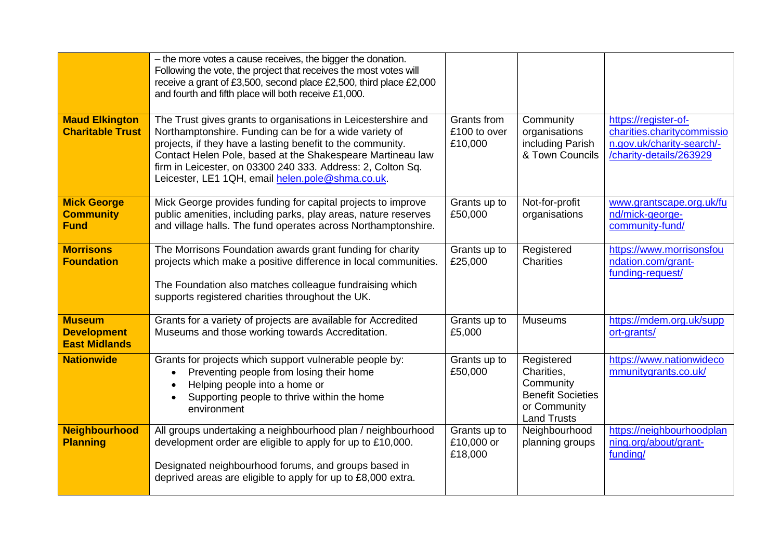|                                                             | - the more votes a cause receives, the bigger the donation.<br>Following the vote, the project that receives the most votes will<br>receive a grant of £3,500, second place £2,500, third place £2,000<br>and fourth and fifth place will both receive £1,000.                                                                                                         |                                        |                                                                                                         |                                                                                                            |
|-------------------------------------------------------------|------------------------------------------------------------------------------------------------------------------------------------------------------------------------------------------------------------------------------------------------------------------------------------------------------------------------------------------------------------------------|----------------------------------------|---------------------------------------------------------------------------------------------------------|------------------------------------------------------------------------------------------------------------|
| <b>Maud Elkington</b><br><b>Charitable Trust</b>            | The Trust gives grants to organisations in Leicestershire and<br>Northamptonshire. Funding can be for a wide variety of<br>projects, if they have a lasting benefit to the community.<br>Contact Helen Pole, based at the Shakespeare Martineau law<br>firm in Leicester, on 03300 240 333. Address: 2, Colton Sq.<br>Leicester, LE1 1QH, email helen.pole@shma.co.uk. | Grants from<br>£100 to over<br>£10,000 | Community<br>organisations<br>including Parish<br>& Town Councils                                       | https://register-of-<br>charities.charitycommissio<br>n.gov.uk/charity-search/-<br>/charity-details/263929 |
| <b>Mick George</b><br><b>Community</b><br><b>Fund</b>       | Mick George provides funding for capital projects to improve<br>public amenities, including parks, play areas, nature reserves<br>and village halls. The fund operates across Northamptonshire.                                                                                                                                                                        | Grants up to<br>£50,000                | Not-for-profit<br>organisations                                                                         | www.grantscape.org.uk/fu<br>nd/mick-george-<br>community-fund/                                             |
| <b>Morrisons</b><br><b>Foundation</b>                       | The Morrisons Foundation awards grant funding for charity<br>projects which make a positive difference in local communities.<br>The Foundation also matches colleague fundraising which<br>supports registered charities throughout the UK.                                                                                                                            | Grants up to<br>£25,000                | Registered<br>Charities                                                                                 | https://www.morrisonsfou<br>ndation.com/grant-<br>funding-request/                                         |
| <b>Museum</b><br><b>Development</b><br><b>East Midlands</b> | Grants for a variety of projects are available for Accredited<br>Museums and those working towards Accreditation.                                                                                                                                                                                                                                                      | Grants up to<br>£5,000                 | <b>Museums</b>                                                                                          | https://mdem.org.uk/supp<br>ort-grants/                                                                    |
| <b>Nationwide</b>                                           | Grants for projects which support vulnerable people by:<br>Preventing people from losing their home<br>Helping people into a home or<br>Supporting people to thrive within the home<br>environment                                                                                                                                                                     | Grants up to<br>£50,000                | Registered<br>Charities,<br>Community<br><b>Benefit Societies</b><br>or Community<br><b>Land Trusts</b> | https://www.nationwideco<br>mmunitygrants.co.uk/                                                           |
| <b>Neighbourhood</b><br><b>Planning</b>                     | All groups undertaking a neighbourhood plan / neighbourhood<br>development order are eligible to apply for up to £10,000.<br>Designated neighbourhood forums, and groups based in<br>deprived areas are eligible to apply for up to £8,000 extra.                                                                                                                      | Grants up to<br>£10,000 or<br>£18,000  | Neighbourhood<br>planning groups                                                                        | https://neighbourhoodplan<br>ning.org/about/grant-<br>funding/                                             |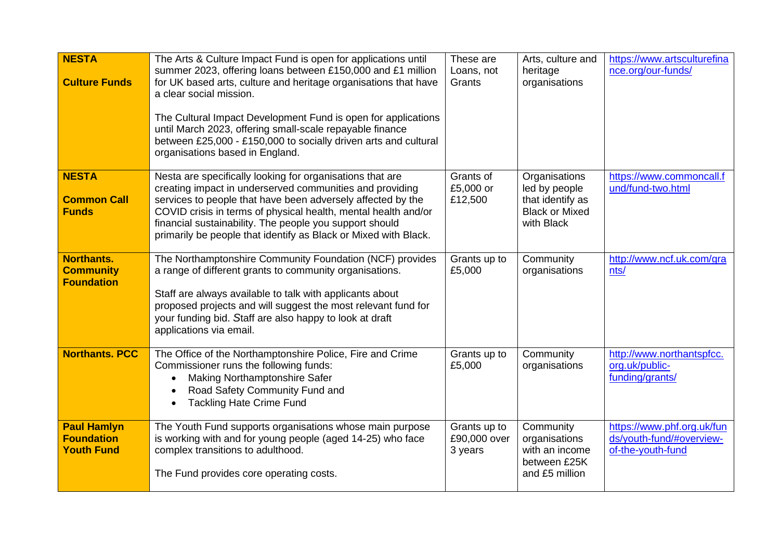| <b>NESTA</b><br><b>Culture Funds</b>                         | The Arts & Culture Impact Fund is open for applications until<br>summer 2023, offering loans between £150,000 and £1 million<br>for UK based arts, culture and heritage organisations that have<br>a clear social mission.<br>The Cultural Impact Development Fund is open for applications<br>until March 2023, offering small-scale repayable finance<br>between £25,000 - £150,000 to socially driven arts and cultural<br>organisations based in England. | These are<br>Loans, not<br>Grants       | Arts, culture and<br>heritage<br>organisations                                            | https://www.artsculturefina<br>nce.org/our-funds/                           |
|--------------------------------------------------------------|---------------------------------------------------------------------------------------------------------------------------------------------------------------------------------------------------------------------------------------------------------------------------------------------------------------------------------------------------------------------------------------------------------------------------------------------------------------|-----------------------------------------|-------------------------------------------------------------------------------------------|-----------------------------------------------------------------------------|
| <b>NESTA</b><br><b>Common Call</b><br><b>Funds</b>           | Nesta are specifically looking for organisations that are<br>creating impact in underserved communities and providing<br>services to people that have been adversely affected by the<br>COVID crisis in terms of physical health, mental health and/or<br>financial sustainability. The people you support should<br>primarily be people that identify as Black or Mixed with Black.                                                                          | Grants of<br>£5,000 or<br>£12,500       | Organisations<br>led by people<br>that identify as<br><b>Black or Mixed</b><br>with Black | https://www.commoncall.f<br>und/fund-two.html                               |
| <b>Northants.</b><br><b>Community</b><br><b>Foundation</b>   | The Northamptonshire Community Foundation (NCF) provides<br>a range of different grants to community organisations.<br>Staff are always available to talk with applicants about<br>proposed projects and will suggest the most relevant fund for<br>your funding bid. Staff are also happy to look at draft<br>applications via email.                                                                                                                        | Grants up to<br>£5,000                  | Community<br>organisations                                                                | http://www.ncf.uk.com/gra<br>nts/                                           |
| <b>Northants. PCC</b>                                        | The Office of the Northamptonshire Police, Fire and Crime<br>Commissioner runs the following funds:<br><b>Making Northamptonshire Safer</b><br>Road Safety Community Fund and<br><b>Tackling Hate Crime Fund</b>                                                                                                                                                                                                                                              | Grants up to<br>£5,000                  | Community<br>organisations                                                                | http://www.northantspfcc.<br>org.uk/public-<br>funding/grants/              |
| <b>Paul Hamlyn</b><br><b>Foundation</b><br><b>Youth Fund</b> | The Youth Fund supports organisations whose main purpose<br>is working with and for young people (aged 14-25) who face<br>complex transitions to adulthood.<br>The Fund provides core operating costs.                                                                                                                                                                                                                                                        | Grants up to<br>£90,000 over<br>3 years | Community<br>organisations<br>with an income<br>between £25K<br>and £5 million            | https://www.phf.org.uk/fun<br>ds/youth-fund/#overview-<br>of-the-youth-fund |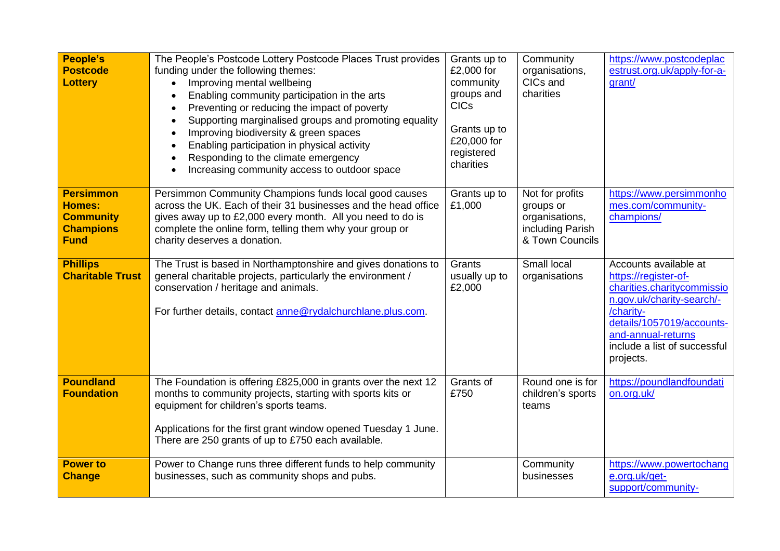| <b>People's</b><br><b>Postcode</b><br><b>Lottery</b>                                     | The People's Postcode Lottery Postcode Places Trust provides<br>funding under the following themes:<br>Improving mental wellbeing<br>$\bullet$<br>Enabling community participation in the arts<br>Preventing or reducing the impact of poverty<br>Supporting marginalised groups and promoting equality<br>Improving biodiversity & green spaces<br>$\bullet$<br>Enabling participation in physical activity<br>Responding to the climate emergency<br>$\bullet$<br>Increasing community access to outdoor space | Grants up to<br>£2,000 for<br>community<br>groups and<br><b>CICs</b><br>Grants up to<br>£20,000 for<br>registered<br>charities | Community<br>organisations,<br>CICs and<br>charities                                  | https://www.postcodeplac<br>estrust.org.uk/apply-for-a-<br>grant/                                                                                                                                                     |
|------------------------------------------------------------------------------------------|------------------------------------------------------------------------------------------------------------------------------------------------------------------------------------------------------------------------------------------------------------------------------------------------------------------------------------------------------------------------------------------------------------------------------------------------------------------------------------------------------------------|--------------------------------------------------------------------------------------------------------------------------------|---------------------------------------------------------------------------------------|-----------------------------------------------------------------------------------------------------------------------------------------------------------------------------------------------------------------------|
| <b>Persimmon</b><br><b>Homes:</b><br><b>Community</b><br><b>Champions</b><br><b>Fund</b> | Persimmon Community Champions funds local good causes<br>across the UK. Each of their 31 businesses and the head office<br>gives away up to £2,000 every month. All you need to do is<br>complete the online form, telling them why your group or<br>charity deserves a donation.                                                                                                                                                                                                                                | Grants up to<br>£1,000                                                                                                         | Not for profits<br>groups or<br>organisations,<br>including Parish<br>& Town Councils | https://www.persimmonho<br>mes.com/community-<br>champions/                                                                                                                                                           |
| <b>Phillips</b><br><b>Charitable Trust</b>                                               | The Trust is based in Northamptonshire and gives donations to<br>general charitable projects, particularly the environment /<br>conservation / heritage and animals.<br>For further details, contact anne@rydalchurchlane.plus.com.                                                                                                                                                                                                                                                                              | Grants<br>usually up to<br>£2,000                                                                                              | Small local<br>organisations                                                          | Accounts available at<br>https://register-of-<br>charities.charitycommissio<br>n.gov.uk/charity-search/-<br>/charity-<br>details/1057019/accounts-<br>and-annual-returns<br>include a list of successful<br>projects. |
| <b>Poundland</b><br><b>Foundation</b>                                                    | The Foundation is offering £825,000 in grants over the next 12<br>months to community projects, starting with sports kits or<br>equipment for children's sports teams.<br>Applications for the first grant window opened Tuesday 1 June.<br>There are 250 grants of up to £750 each available.                                                                                                                                                                                                                   | Grants of<br>£750                                                                                                              | Round one is for<br>children's sports<br>teams                                        | https://poundlandfoundati<br>on.org.uk/                                                                                                                                                                               |
| <b>Power to</b><br><b>Change</b>                                                         | Power to Change runs three different funds to help community<br>businesses, such as community shops and pubs.                                                                                                                                                                                                                                                                                                                                                                                                    |                                                                                                                                | Community<br>businesses                                                               | https://www.powertochang<br>e.org.uk/get-<br>support/community-                                                                                                                                                       |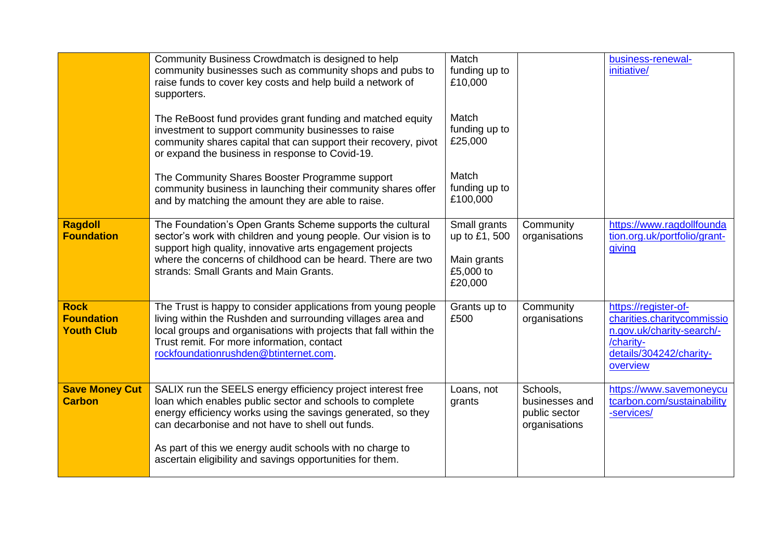|                                                       | Community Business Crowdmatch is designed to help<br>community businesses such as community shops and pubs to<br>raise funds to cover key costs and help build a network of<br>supporters.                                                                                                                                                                            | Match<br>funding up to<br>£10,000                                    |                                                              | business-renewal-<br>initiative/                                                                                                    |
|-------------------------------------------------------|-----------------------------------------------------------------------------------------------------------------------------------------------------------------------------------------------------------------------------------------------------------------------------------------------------------------------------------------------------------------------|----------------------------------------------------------------------|--------------------------------------------------------------|-------------------------------------------------------------------------------------------------------------------------------------|
|                                                       | The ReBoost fund provides grant funding and matched equity<br>investment to support community businesses to raise<br>community shares capital that can support their recovery, pivot<br>or expand the business in response to Covid-19.                                                                                                                               | Match<br>funding up to<br>£25,000                                    |                                                              |                                                                                                                                     |
|                                                       | The Community Shares Booster Programme support<br>community business in launching their community shares offer<br>and by matching the amount they are able to raise.                                                                                                                                                                                                  | Match<br>funding up to<br>£100,000                                   |                                                              |                                                                                                                                     |
| <b>Ragdoll</b><br><b>Foundation</b>                   | The Foundation's Open Grants Scheme supports the cultural<br>sector's work with children and young people. Our vision is to<br>support high quality, innovative arts engagement projects<br>where the concerns of childhood can be heard. There are two<br>strands: Small Grants and Main Grants.                                                                     | Small grants<br>up to £1, 500<br>Main grants<br>£5,000 to<br>£20,000 | Community<br>organisations                                   | https://www.ragdollfounda<br>tion.org.uk/portfolio/grant-<br>giving                                                                 |
| <b>Rock</b><br><b>Foundation</b><br><b>Youth Club</b> | The Trust is happy to consider applications from young people<br>living within the Rushden and surrounding villages area and<br>local groups and organisations with projects that fall within the<br>Trust remit. For more information, contact<br>rockfoundationrushden@btinternet.com.                                                                              | Grants up to<br>£500                                                 | Community<br>organisations                                   | https://register-of-<br>charities.charitycommissio<br>n.gov.uk/charity-search/-<br>/charity-<br>details/304242/charity-<br>overview |
| <b>Save Money Cut</b><br><b>Carbon</b>                | SALIX run the SEELS energy efficiency project interest free<br>loan which enables public sector and schools to complete<br>energy efficiency works using the savings generated, so they<br>can decarbonise and not have to shell out funds.<br>As part of this we energy audit schools with no charge to<br>ascertain eligibility and savings opportunities for them. | Loans, not<br>grants                                                 | Schools,<br>businesses and<br>public sector<br>organisations | https://www.savemoneycu<br>tcarbon.com/sustainability<br>-services/                                                                 |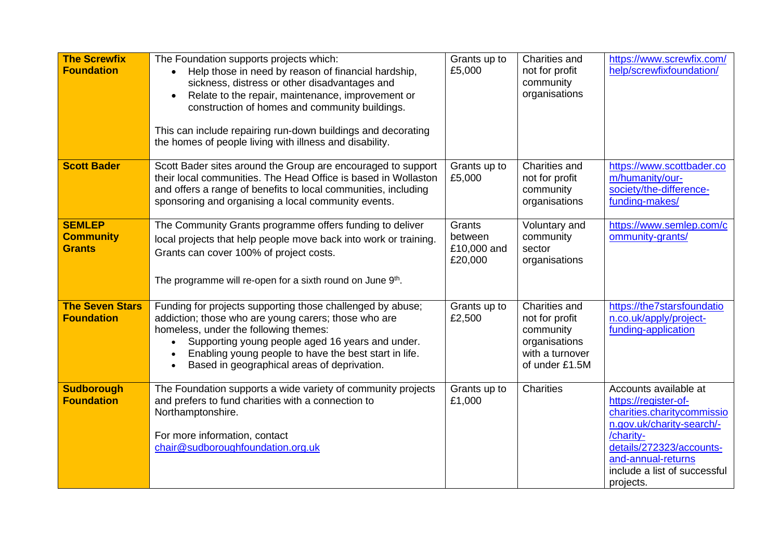| <b>The Screwfix</b><br><b>Foundation</b>           | The Foundation supports projects which:<br>Help those in need by reason of financial hardship,<br>$\bullet$<br>sickness, distress or other disadvantages and<br>Relate to the repair, maintenance, improvement or<br>$\bullet$<br>construction of homes and community buildings.<br>This can include repairing run-down buildings and decorating<br>the homes of people living with illness and disability. | Grants up to<br>£5,000                      | Charities and<br>not for profit<br>community<br>organisations                                      | https://www.screwfix.com/<br>help/screwfixfoundation/                                                                                                                                                                |
|----------------------------------------------------|-------------------------------------------------------------------------------------------------------------------------------------------------------------------------------------------------------------------------------------------------------------------------------------------------------------------------------------------------------------------------------------------------------------|---------------------------------------------|----------------------------------------------------------------------------------------------------|----------------------------------------------------------------------------------------------------------------------------------------------------------------------------------------------------------------------|
| <b>Scott Bader</b>                                 | Scott Bader sites around the Group are encouraged to support<br>their local communities. The Head Office is based in Wollaston<br>and offers a range of benefits to local communities, including<br>sponsoring and organising a local community events.                                                                                                                                                     | Grants up to<br>£5,000                      | Charities and<br>not for profit<br>community<br>organisations                                      | https://www.scottbader.co<br>m/humanity/our-<br>society/the-difference-<br>funding-makes/                                                                                                                            |
| <b>SEMLEP</b><br><b>Community</b><br><b>Grants</b> | The Community Grants programme offers funding to deliver<br>local projects that help people move back into work or training.<br>Grants can cover 100% of project costs.<br>The programme will re-open for a sixth round on June 9th.                                                                                                                                                                        | Grants<br>between<br>£10,000 and<br>£20,000 | Voluntary and<br>community<br>sector<br>organisations                                              | https://www.semlep.com/c<br>ommunity-grants/                                                                                                                                                                         |
| <b>The Seven Stars</b><br><b>Foundation</b>        | Funding for projects supporting those challenged by abuse;<br>addiction; those who are young carers; those who are<br>homeless, under the following themes:<br>Supporting young people aged 16 years and under.<br>Enabling young people to have the best start in life.<br>Based in geographical areas of deprivation.                                                                                     | Grants up to<br>£2,500                      | Charities and<br>not for profit<br>community<br>organisations<br>with a turnover<br>of under £1.5M | https://the7starsfoundatio<br>n.co.uk/apply/project-<br>funding-application                                                                                                                                          |
| <b>Sudborough</b><br><b>Foundation</b>             | The Foundation supports a wide variety of community projects<br>and prefers to fund charities with a connection to<br>Northamptonshire.<br>For more information, contact<br>chair@sudboroughfoundation.org.uk                                                                                                                                                                                               | Grants up to<br>£1,000                      | <b>Charities</b>                                                                                   | Accounts available at<br>https://register-of-<br>charities.charitycommissio<br>n.gov.uk/charity-search/-<br>/charity-<br>details/272323/accounts-<br>and-annual-returns<br>include a list of successful<br>projects. |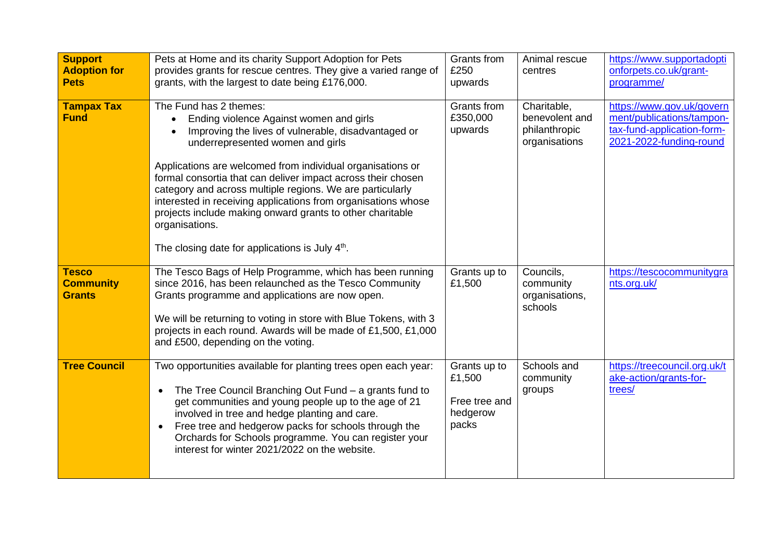| <b>Support</b><br><b>Adoption for</b><br><b>Pets</b> | Pets at Home and its charity Support Adoption for Pets<br>provides grants for rescue centres. They give a varied range of<br>grants, with the largest to date being £176,000.                                                                                                                                                                                                                                                                                                                                                                                          | Grants from<br>£250<br>upwards                               | Animal rescue<br>centres                                        | https://www.supportadopti<br>onforpets.co.uk/grant-<br>programme/                                               |
|------------------------------------------------------|------------------------------------------------------------------------------------------------------------------------------------------------------------------------------------------------------------------------------------------------------------------------------------------------------------------------------------------------------------------------------------------------------------------------------------------------------------------------------------------------------------------------------------------------------------------------|--------------------------------------------------------------|-----------------------------------------------------------------|-----------------------------------------------------------------------------------------------------------------|
| <b>Tampax Tax</b><br><b>Fund</b>                     | The Fund has 2 themes:<br>Ending violence Against women and girls<br>Improving the lives of vulnerable, disadvantaged or<br>underrepresented women and girls<br>Applications are welcomed from individual organisations or<br>formal consortia that can deliver impact across their chosen<br>category and across multiple regions. We are particularly<br>interested in receiving applications from organisations whose<br>projects include making onward grants to other charitable<br>organisations.<br>The closing date for applications is July 4 <sup>th</sup> . | Grants from<br>£350,000<br>upwards                           | Charitable,<br>benevolent and<br>philanthropic<br>organisations | https://www.gov.uk/govern<br>ment/publications/tampon-<br>tax-fund-application-form-<br>2021-2022-funding-round |
| <b>Tesco</b><br><b>Community</b><br><b>Grants</b>    | The Tesco Bags of Help Programme, which has been running<br>since 2016, has been relaunched as the Tesco Community<br>Grants programme and applications are now open.<br>We will be returning to voting in store with Blue Tokens, with 3<br>projects in each round. Awards will be made of £1,500, £1,000<br>and £500, depending on the voting.                                                                                                                                                                                                                       | Grants up to<br>£1,500                                       | Councils,<br>community<br>organisations,<br>schools             | https://tescocommunitygra<br>nts.org.uk/                                                                        |
| <b>Tree Council</b>                                  | Two opportunities available for planting trees open each year:<br>The Tree Council Branching Out Fund - a grants fund to<br>$\bullet$<br>get communities and young people up to the age of 21<br>involved in tree and hedge planting and care.<br>Free tree and hedgerow packs for schools through the<br>$\bullet$<br>Orchards for Schools programme. You can register your<br>interest for winter 2021/2022 on the website.                                                                                                                                          | Grants up to<br>£1,500<br>Free tree and<br>hedgerow<br>packs | Schools and<br>community<br>groups                              | https://treecouncil.org.uk/t<br>ake-action/grants-for-<br>trees/                                                |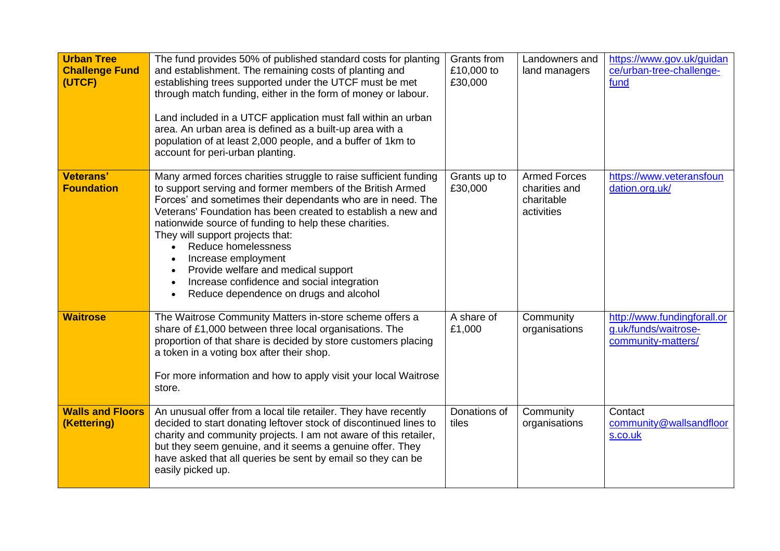| <b>Urban Tree</b><br><b>Challenge Fund</b><br>(UTCF) | The fund provides 50% of published standard costs for planting<br>and establishment. The remaining costs of planting and<br>establishing trees supported under the UTCF must be met<br>through match funding, either in the form of money or labour.<br>Land included in a UTCF application must fall within an urban<br>area. An urban area is defined as a built-up area with a<br>population of at least 2,000 people, and a buffer of 1km to<br>account for peri-urban planting.                                                    | Grants from<br>£10,000 to<br>£30,000 | Landowners and<br>land managers                                  | https://www.gov.uk/guidan<br>ce/urban-tree-challenge-<br>fund             |
|------------------------------------------------------|-----------------------------------------------------------------------------------------------------------------------------------------------------------------------------------------------------------------------------------------------------------------------------------------------------------------------------------------------------------------------------------------------------------------------------------------------------------------------------------------------------------------------------------------|--------------------------------------|------------------------------------------------------------------|---------------------------------------------------------------------------|
| <b>Veterans'</b><br><b>Foundation</b>                | Many armed forces charities struggle to raise sufficient funding<br>to support serving and former members of the British Armed<br>Forces' and sometimes their dependants who are in need. The<br>Veterans' Foundation has been created to establish a new and<br>nationwide source of funding to help these charities.<br>They will support projects that:<br>Reduce homelessness<br>Increase employment<br>Provide welfare and medical support<br>Increase confidence and social integration<br>Reduce dependence on drugs and alcohol | Grants up to<br>£30,000              | <b>Armed Forces</b><br>charities and<br>charitable<br>activities | https://www.veteransfoun<br>dation.org.uk/                                |
| <b>Waitrose</b>                                      | The Waitrose Community Matters in-store scheme offers a<br>share of £1,000 between three local organisations. The<br>proportion of that share is decided by store customers placing<br>a token in a voting box after their shop.<br>For more information and how to apply visit your local Waitrose<br>store.                                                                                                                                                                                                                           | A share of<br>£1,000                 | Community<br>organisations                                       | http://www.fundingforall.or<br>g.uk/funds/waitrose-<br>community-matters/ |
| <b>Walls and Floors</b><br>(Kettering)               | An unusual offer from a local tile retailer. They have recently<br>decided to start donating leftover stock of discontinued lines to<br>charity and community projects. I am not aware of this retailer,<br>but they seem genuine, and it seems a genuine offer. They<br>have asked that all queries be sent by email so they can be<br>easily picked up.                                                                                                                                                                               | Donations of<br>tiles                | Community<br>organisations                                       | Contact<br>community@wallsandfloor<br>s.co.uk                             |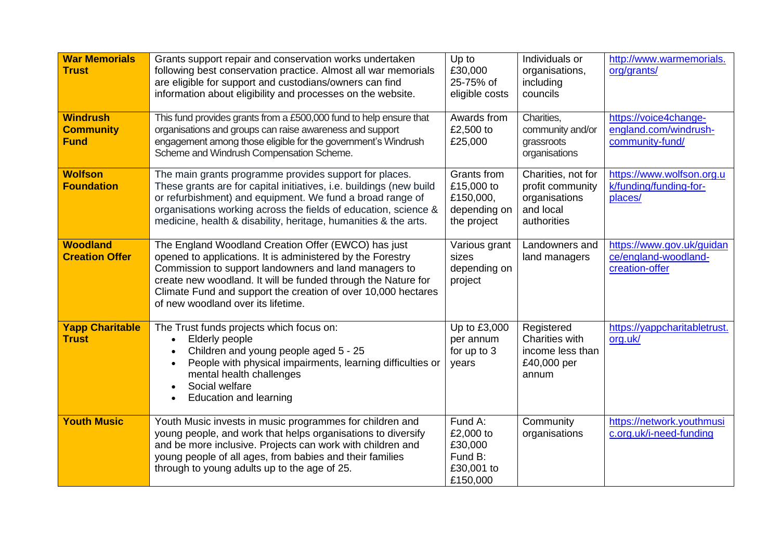| <b>War Memorials</b><br><b>Trust</b>               | Grants support repair and conservation works undertaken<br>following best conservation practice. Almost all war memorials<br>are eligible for support and custodians/owners can find<br>information about eligibility and processes on the website.                                                                                                | Up to<br>£30,000<br>25-75% of<br>eligible costs                       | Individuals or<br>organisations,<br>including<br>councils                           | http://www.warmemorials.<br>org/grants/                             |
|----------------------------------------------------|----------------------------------------------------------------------------------------------------------------------------------------------------------------------------------------------------------------------------------------------------------------------------------------------------------------------------------------------------|-----------------------------------------------------------------------|-------------------------------------------------------------------------------------|---------------------------------------------------------------------|
| <b>Windrush</b><br><b>Community</b><br><b>Fund</b> | This fund provides grants from a £500,000 fund to help ensure that<br>organisations and groups can raise awareness and support<br>engagement among those eligible for the government's Windrush<br>Scheme and Windrush Compensation Scheme.                                                                                                        | Awards from<br>£2,500 to<br>£25,000                                   | Charities,<br>community and/or<br>grassroots<br>organisations                       | https://voice4change-<br>england.com/windrush-<br>community-fund/   |
| <b>Wolfson</b><br><b>Foundation</b>                | The main grants programme provides support for places.<br>These grants are for capital initiatives, i.e. buildings (new build<br>or refurbishment) and equipment. We fund a broad range of<br>organisations working across the fields of education, science &<br>medicine, health & disability, heritage, humanities & the arts.                   | Grants from<br>£15,000 to<br>£150,000,<br>depending on<br>the project | Charities, not for<br>profit community<br>organisations<br>and local<br>authorities | https://www.wolfson.org.u<br>k/funding/funding-for-<br>places/      |
| <b>Woodland</b><br><b>Creation Offer</b>           | The England Woodland Creation Offer (EWCO) has just<br>opened to applications. It is administered by the Forestry<br>Commission to support landowners and land managers to<br>create new woodland. It will be funded through the Nature for<br>Climate Fund and support the creation of over 10,000 hectares<br>of new woodland over its lifetime. | Various grant<br>sizes<br>depending on<br>project                     | Landowners and<br>land managers                                                     | https://www.gov.uk/guidan<br>ce/england-woodland-<br>creation-offer |
| <b>Yapp Charitable</b><br><b>Trust</b>             | The Trust funds projects which focus on:<br>Elderly people<br>$\bullet$<br>Children and young people aged 5 - 25<br>$\bullet$<br>People with physical impairments, learning difficulties or<br>$\bullet$<br>mental health challenges<br>Social welfare<br><b>Education and learning</b>                                                            | Up to £3,000<br>per annum<br>for up to 3<br>years                     | Registered<br><b>Charities with</b><br>income less than<br>£40,000 per<br>annum     | https://yappcharitabletrust.<br>org.uk/                             |
| <b>Youth Music</b>                                 | Youth Music invests in music programmes for children and<br>young people, and work that helps organisations to diversify<br>and be more inclusive. Projects can work with children and<br>young people of all ages, from babies and their families<br>through to young adults up to the age of 25.                                                 | Fund A:<br>£2,000 to<br>£30,000<br>Fund B:<br>£30,001 to<br>£150,000  | Community<br>organisations                                                          | https://network.youthmusi<br>c.org.uk/i-need-funding                |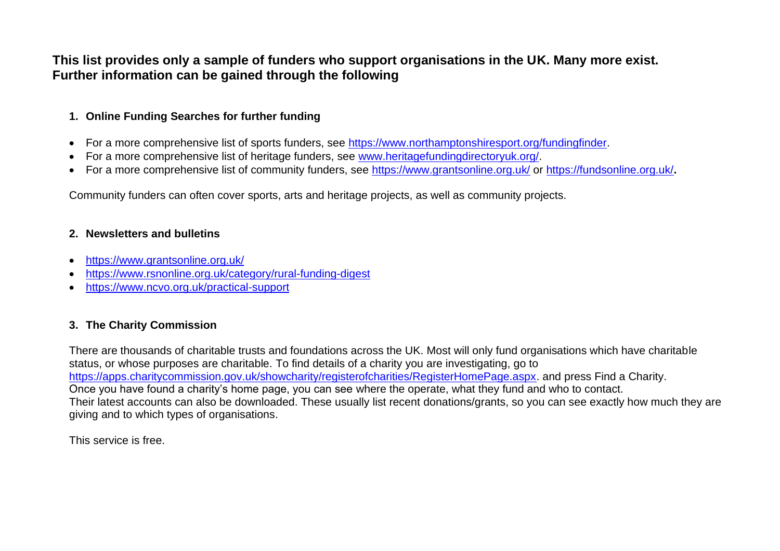# **This list provides only a sample of funders who support organisations in the UK. Many more exist. Further information can be gained through the following**

### **1. Online Funding Searches for further funding**

- For a more comprehensive list of sports funders, see [https://www.northamptonshiresport.org/fundingfinder.](https://www.northamptonshiresport.org/fundingfinder)
- For a more comprehensive list of heritage funders, see [www.heritagefundingdirectoryuk.org/.](http://www.heritagefundingdirectoryuk.org/)
- For a more comprehensive list of community funders, see<https://www.grantsonline.org.uk/> or<https://fundsonline.org.uk/>**.**

Community funders can often cover sports, arts and heritage projects, as well as community projects.

#### **2. Newsletters and bulletins**

- <https://www.grantsonline.org.uk/>
- <https://www.rsnonline.org.uk/category/rural-funding-digest>
- <https://www.ncvo.org.uk/practical-support>

## **3. The Charity Commission**

There are thousands of charitable trusts and foundations across the UK. Most will only fund organisations which have charitable status, or whose purposes are charitable. To find details of a charity you are investigating, go to [https://apps.charitycommission.gov.uk/showcharity/registerofcharities/RegisterHomePage.aspx.](https://apps.charitycommission.gov.uk/showcharity/registerofcharities/RegisterHomePage.aspx) and press Find a Charity. Once you have found a charity's home page, you can see where the operate, what they fund and who to contact. Their latest accounts can also be downloaded. These usually list recent donations/grants, so you can see exactly how much they are giving and to which types of organisations.

This service is free.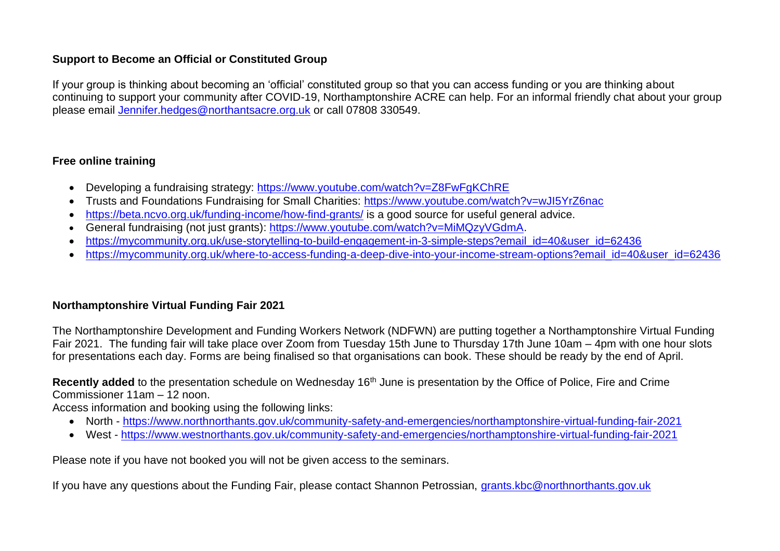### **Support to Become an Official or Constituted Group**

If your group is thinking about becoming an 'official' constituted group so that you can access funding or you are thinking about continuing to support your community after COVID-19, Northamptonshire ACRE can help. For an informal friendly chat about your group please email [Jennifer.hedges@northantsacre.org.uk](mailto:Jennifer.hedges@northantsacre.org.uk) or call 07808 330549.

### **Free online training**

- Developing a fundraising strategy:<https://www.youtube.com/watch?v=Z8FwFgKChRE>
- Trusts and Foundations Fundraising for Small Charities:<https://www.youtube.com/watch?v=wJI5YrZ6nac>
- <https://beta.ncvo.org.uk/funding-income/how-find-grants/> is a good source for useful general advice.
- General fundraising (not just grants): [https://www.youtube.com/watch?v=MiMQzyVGdmA.](https://www.youtube.com/watch?v=MiMQzyVGdmA)
- [https://mycommunity.org.uk/use-storytelling-to-build-engagement-in-3-simple-steps?email\\_id=40&user\\_id=62436](https://mycommunity.org.uk/use-storytelling-to-build-engagement-in-3-simple-steps?email_id=40&user_id=62436)
- [https://mycommunity.org.uk/where-to-access-funding-a-deep-dive-into-your-income-stream-options?email\\_id=40&user\\_id=62436](https://mycommunity.org.uk/where-to-access-funding-a-deep-dive-into-your-income-stream-options?email_id=40&user_id=62436)

### **Northamptonshire Virtual Funding Fair 2021**

The Northamptonshire Development and Funding Workers Network (NDFWN) are putting together a Northamptonshire Virtual Funding Fair 2021. The funding fair will take place over Zoom from Tuesday 15th June to Thursday 17th June 10am – 4pm with one hour slots for presentations each day. Forms are being finalised so that organisations can book. These should be ready by the end of April.

**Recently added** to the presentation schedule on Wednesday 16<sup>th</sup> June is presentation by the Office of Police, Fire and Crime Commissioner 11am – 12 noon.

Access information and booking using the following links:

- North <https://www.northnorthants.gov.uk/community-safety-and-emergencies/northamptonshire-virtual-funding-fair-2021>
- West <https://www.westnorthants.gov.uk/community-safety-and-emergencies/northamptonshire-virtual-funding-fair-2021>

Please note if you have not booked you will not be given access to the seminars.

If you have any questions about the Funding Fair, please contact Shannon Petrossian, [grants.kbc@northnorthants.gov.uk](mailto:grants.kbc@northnorthants.gov.uk)